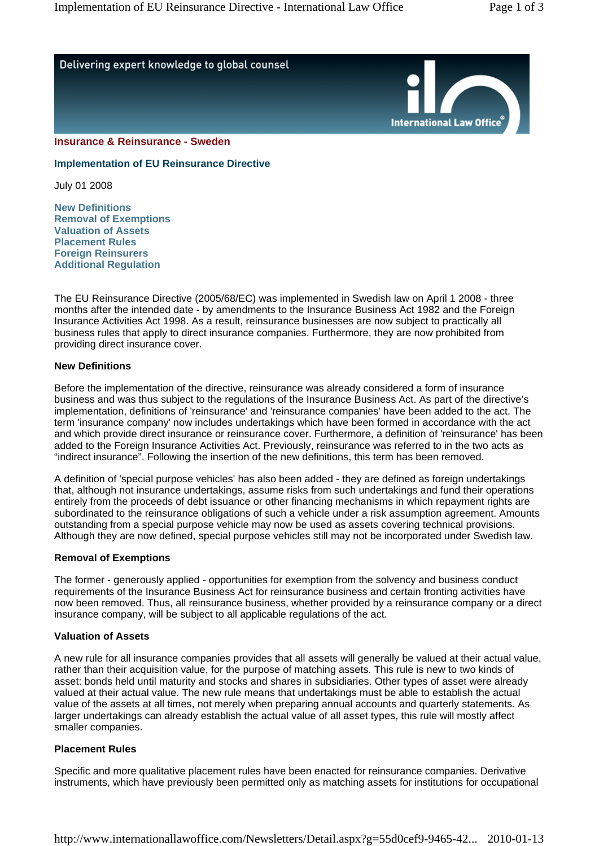

**Implementation of EU Reinsurance Directive** 

July 01 2008

**New Definitions Removal of Exemptions Valuation of Assets Placement Rules Foreign Reinsurers Additional Regulation**

The EU Reinsurance Directive (2005/68/EC) was implemented in Swedish law on April 1 2008 - three months after the intended date - by amendments to the Insurance Business Act 1982 and the Foreign Insurance Activities Act 1998. As a result, reinsurance businesses are now subject to practically all business rules that apply to direct insurance companies. Furthermore, they are now prohibited from providing direct insurance cover.

## **New Definitions**

Before the implementation of the directive, reinsurance was already considered a form of insurance business and was thus subject to the regulations of the Insurance Business Act. As part of the directive's implementation, definitions of 'reinsurance' and 'reinsurance companies' have been added to the act. The term 'insurance company' now includes undertakings which have been formed in accordance with the act and which provide direct insurance or reinsurance cover. Furthermore, a definition of 'reinsurance' has been added to the Foreign Insurance Activities Act. Previously, reinsurance was referred to in the two acts as "indirect insurance". Following the insertion of the new definitions, this term has been removed.

A definition of 'special purpose vehicles' has also been added - they are defined as foreign undertakings that, although not insurance undertakings, assume risks from such undertakings and fund their operations entirely from the proceeds of debt issuance or other financing mechanisms in which repayment rights are subordinated to the reinsurance obligations of such a vehicle under a risk assumption agreement. Amounts outstanding from a special purpose vehicle may now be used as assets covering technical provisions. Although they are now defined, special purpose vehicles still may not be incorporated under Swedish law.

## **Removal of Exemptions**

The former - generously applied - opportunities for exemption from the solvency and business conduct requirements of the Insurance Business Act for reinsurance business and certain fronting activities have now been removed. Thus, all reinsurance business, whether provided by a reinsurance company or a direct insurance company, will be subject to all applicable regulations of the act.

## **Valuation of Assets**

A new rule for all insurance companies provides that all assets will generally be valued at their actual value, rather than their acquisition value, for the purpose of matching assets. This rule is new to two kinds of asset: bonds held until maturity and stocks and shares in subsidiaries. Other types of asset were already valued at their actual value. The new rule means that undertakings must be able to establish the actual value of the assets at all times, not merely when preparing annual accounts and quarterly statements. As larger undertakings can already establish the actual value of all asset types, this rule will mostly affect smaller companies.

# **Placement Rules**

Specific and more qualitative placement rules have been enacted for reinsurance companies. Derivative instruments, which have previously been permitted only as matching assets for institutions for occupational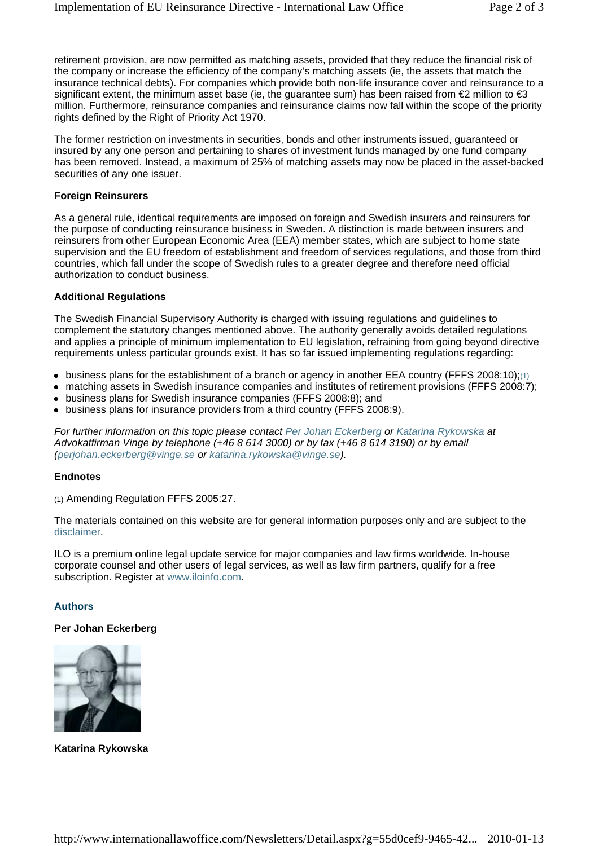retirement provision, are now permitted as matching assets, provided that they reduce the financial risk of the company or increase the efficiency of the company's matching assets (ie, the assets that match the insurance technical debts). For companies which provide both non-life insurance cover and reinsurance to a significant extent, the minimum asset base (ie, the guarantee sum) has been raised from  $\epsilon$ 2 million to  $\epsilon$ 3 million. Furthermore, reinsurance companies and reinsurance claims now fall within the scope of the priority rights defined by the Right of Priority Act 1970.

The former restriction on investments in securities, bonds and other instruments issued, guaranteed or insured by any one person and pertaining to shares of investment funds managed by one fund company has been removed. Instead, a maximum of 25% of matching assets may now be placed in the asset-backed securities of any one issuer.

## **Foreign Reinsurers**

As a general rule, identical requirements are imposed on foreign and Swedish insurers and reinsurers for the purpose of conducting reinsurance business in Sweden. A distinction is made between insurers and reinsurers from other European Economic Area (EEA) member states, which are subject to home state supervision and the EU freedom of establishment and freedom of services regulations, and those from third countries, which fall under the scope of Swedish rules to a greater degree and therefore need official authorization to conduct business.

## **Additional Regulations**

The Swedish Financial Supervisory Authority is charged with issuing regulations and guidelines to complement the statutory changes mentioned above. The authority generally avoids detailed regulations and applies a principle of minimum implementation to EU legislation, refraining from going beyond directive requirements unless particular grounds exist. It has so far issued implementing regulations regarding:

- $\bullet$  business plans for the establishment of a branch or agency in another EEA country (FFFS 2008:10);(1)
- matching assets in Swedish insurance companies and institutes of retirement provisions (FFFS 2008:7);
- business plans for Swedish insurance companies (FFFS 2008:8); and
- business plans for insurance providers from a third country (FFFS 2008:9).

*For further information on this topic please contact Per Johan Eckerberg or Katarina Rykowska at Advokatfirman Vinge by telephone (+46 8 614 3000) or by fax (+46 8 614 3190) or by email (perjohan.eckerberg@vinge.se or katarina.rykowska@vinge.se).*

# **Endnotes**

(1) Amending Regulation FFFS 2005:27.

The materials contained on this website are for general information purposes only and are subject to the disclaimer.

ILO is a premium online legal update service for major companies and law firms worldwide. In-house corporate counsel and other users of legal services, as well as law firm partners, qualify for a free subscription. Register at www.iloinfo.com.

# **Authors**

# **Per Johan Eckerberg**



**Katarina Rykowska**